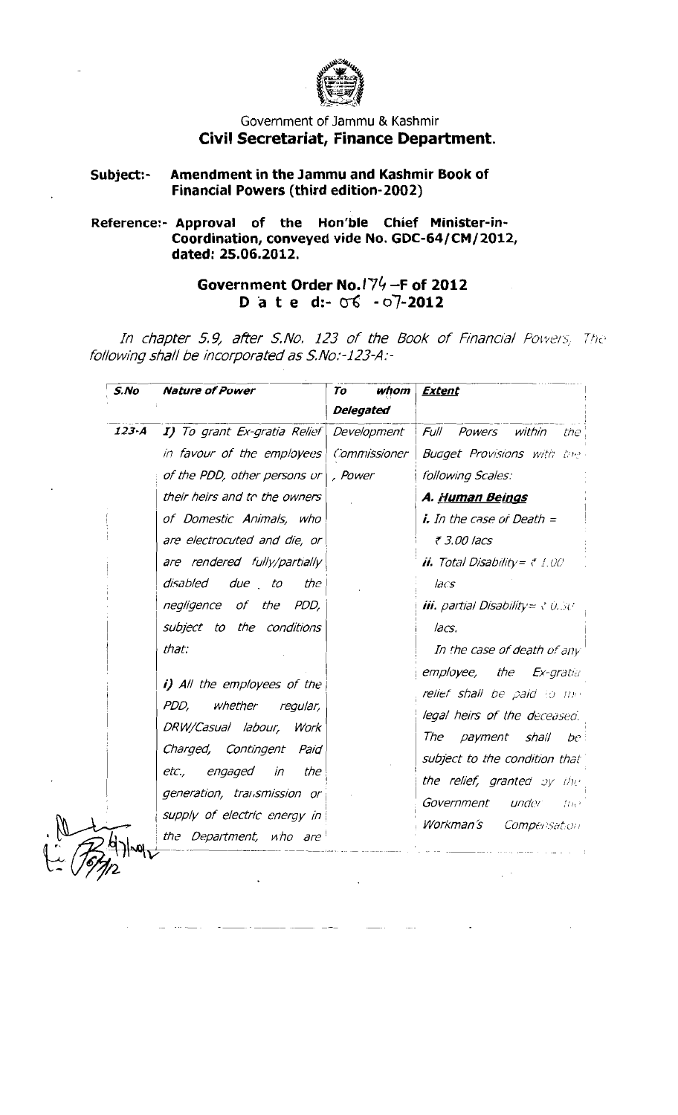

## Government of Jammu & Kashmir Civil Secretariat, Finance Department.

## Amendment in the Jammu and Kashmir Book of Subject:-**Financial Powers (third edition-2002)**

## Reference:- Approval of the Hon'ble Chief Minister-in-<br>Coordination, conveyed vide No. GDC-64/CM/2012, dated: 25.06.2012.

Government Order No.174-F of 2012 D a t e d:- 06 - 07-2012

In chapter 5.9, after S.No. 123 of the Book of Financial Powers, The following shall be incorporated as S.No:-123-A:-

| S.No                                                                                                                                                                                                                                      | <b>Nature of Power</b> | To<br>whom<br><b>Delegated</b>                                                                                                                                                                                                                              | <b>Extent</b> |
|-------------------------------------------------------------------------------------------------------------------------------------------------------------------------------------------------------------------------------------------|------------------------|-------------------------------------------------------------------------------------------------------------------------------------------------------------------------------------------------------------------------------------------------------------|---------------|
|                                                                                                                                                                                                                                           |                        |                                                                                                                                                                                                                                                             |               |
| in favour of the employees   Commissioner                                                                                                                                                                                                 |                        | <b>Buaget Provisions</b> with the                                                                                                                                                                                                                           |               |
| of the PDD, other persons $\sigma$                                                                                                                                                                                                        | , Power                | following Scales:                                                                                                                                                                                                                                           |               |
| their heirs and to the owners                                                                                                                                                                                                             |                        | A. <u>Human Beings</u>                                                                                                                                                                                                                                      |               |
| of Domestic Animals, who                                                                                                                                                                                                                  |                        | $i$ , In the case of Death $=$                                                                                                                                                                                                                              |               |
| are electrocuted and die, or                                                                                                                                                                                                              |                        | ₹ 3.00 lacs                                                                                                                                                                                                                                                 |               |
| are rendered fully/partially                                                                                                                                                                                                              |                        | <b>ii.</b> Total Disability = $\tau$ 1.00                                                                                                                                                                                                                   |               |
| disabled due to<br>the                                                                                                                                                                                                                    |                        | JacS                                                                                                                                                                                                                                                        |               |
| negligence of the PDD,                                                                                                                                                                                                                    |                        | <b>iii.</b> partial Disability = $\sqrt{0.50}$                                                                                                                                                                                                              |               |
| subject to the conditions                                                                                                                                                                                                                 |                        | lacs.                                                                                                                                                                                                                                                       |               |
| that:                                                                                                                                                                                                                                     |                        | In the case of death of any                                                                                                                                                                                                                                 |               |
| i) All the employees of the<br>PDD,<br>whether regular,<br>DRW/Casual labour, Work<br>Charged, Contingent Paid<br>engaged<br>in<br>the<br>etc.,<br>generation, transmission or<br>supply of electric energy in<br>the Department, who are |                        | <b>employee, the Ex-gratial</b><br>relief shall be paid to the<br>legal heirs of the deceased.<br>The<br>payment shall<br>-be :<br>subject to the condition that<br>the relief, granted by the<br>Government<br>under<br>trie)<br>Workman's<br>Compensation |               |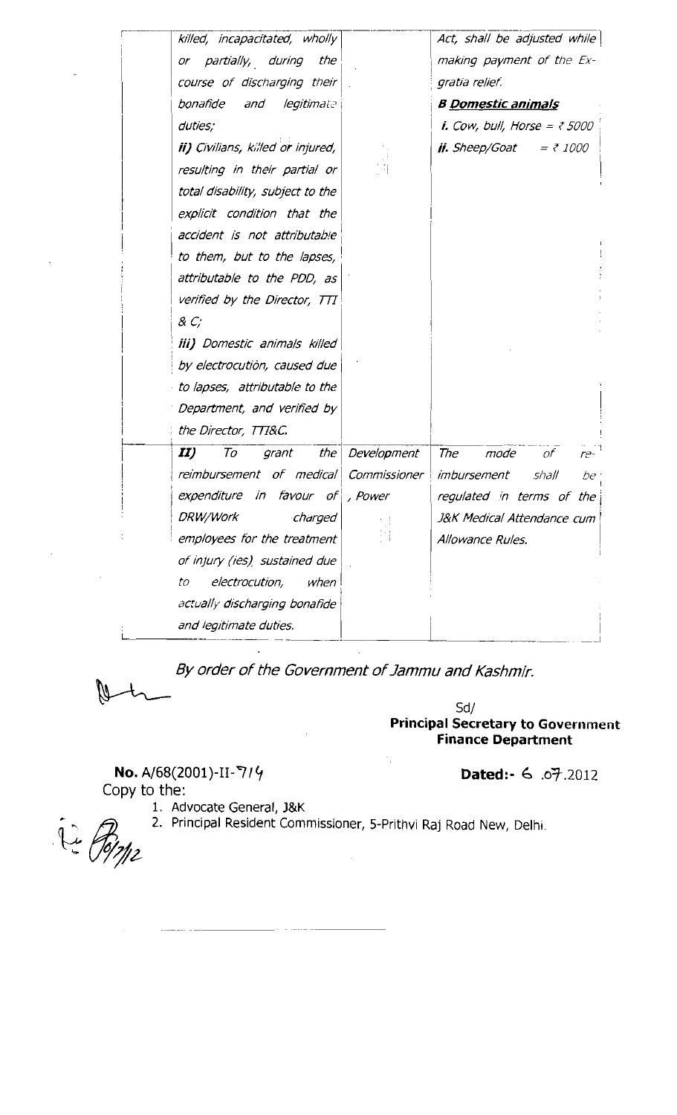| killed, incapacitated, wholly            |              | Act, shall be adjusted while                    |
|------------------------------------------|--------------|-------------------------------------------------|
| or partially, during<br>the              |              | making payment of the Ex-                       |
| course of discharging their              |              | gratia relief.                                  |
| bonafide<br>and legitimate               |              | <b>B Domestic animals</b>                       |
| duties;                                  |              | <i>i. Cow, bull, Horse = <math>75000</math></i> |
| <b>ii)</b> Civilians, killed or injured, |              | <b>ii.</b> Sheep/Goat<br>$= 71000$              |
| resulting in their partial or            |              |                                                 |
| total disability, subject to the         |              |                                                 |
| explicit condition that the              |              |                                                 |
| accident is not attributable             |              |                                                 |
| to them, but to the lapses,              |              |                                                 |
| attributable to the PDD, as              |              |                                                 |
| verified by the Director, TTI            |              |                                                 |
| & C;                                     |              |                                                 |
| <i>iii) Domestic animals killed</i>      |              |                                                 |
| by electrocution, caused due             |              |                                                 |
| to lapses, attributable to the           |              |                                                 |
| Department, and verified by              |              |                                                 |
| the Director, TTT&C.                     |              |                                                 |
| II)<br>the<br>To<br>grant                | Development  | The<br>mode<br>of .<br>$re-$                    |
| reimbursement of medical                 | Commissioner | imbursement<br>shall<br>be                      |
| expenditure in favour of                 | , Power      | regulated in terms of the                       |
| DRW/Work<br>charged                      |              | J&K Medical Attendance cum                      |
| employees for the treatment              |              | Allowance Rules.                                |
| of injury (ies) sustained due            |              |                                                 |
| electrocution,<br>when<br>to             |              |                                                 |
| actually discharging bonafide            |              |                                                 |
| and legitimate duties.                   |              |                                                 |
|                                          |              |                                                 |

By order of the Government of Jammu and Kashmir.

 $\mathcal{C}_{\mathbf{r}}$ 

 $Sd/$ **Principal Secretary to Government Finance Department** 

No. A/68(2001)-II-7/4 Copy to the:

Dated:- 6 07.2012

1. Advocate General, J&K

2. Principal Resident Commissioner, 5-Prithvi Raj Road New, Delhi.

 $\begin{picture}(22,17) \put(0,0){\vector(1,0){15}} \put(15,0){\vector(1,0){15}} \put(15,0){\vector(1,0){15}} \put(15,0){\vector(1,0){15}} \put(15,0){\vector(1,0){15}} \put(15,0){\vector(1,0){15}} \put(15,0){\vector(1,0){15}} \put(15,0){\vector(1,0){15}} \put(15,0){\vector(1,0){15}} \put(15,0){\vector(1,0){15}} \put(15,0){\vector(1,0){15}} \put(15,0){\vector(1$ 

 $\ddot{\phantom{1}}$ 

 $\bar{z}$ 

 $\mathcal{A}^{\mathcal{A}}$ 

\_ . . . . . . . . . .